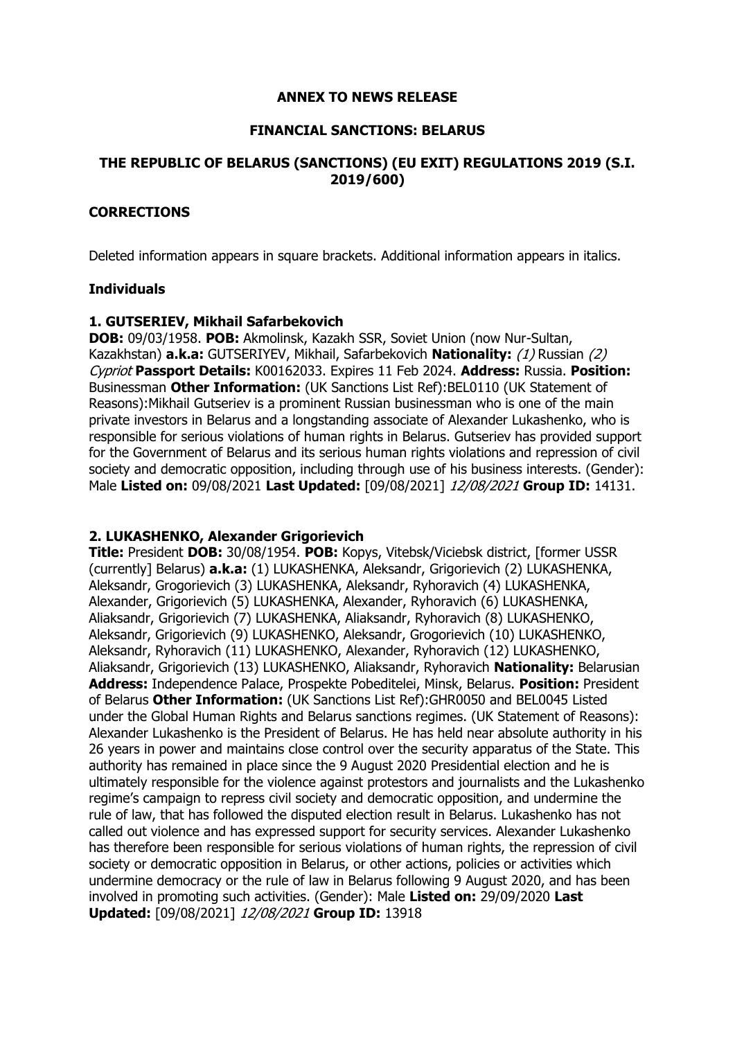#### **ANNEX TO NEWS RELEASE**

### **FINANCIAL SANCTIONS: BELARUS**

## **THE REPUBLIC OF BELARUS (SANCTIONS) (EU EXIT) REGULATIONS 2019 (S.I. 2019/600)**

## **CORRECTIONS**

Deleted information appears in square brackets. Additional information appears in italics.

### **Individuals**

### **1. GUTSERIEV, Mikhail Safarbekovich**

**DOB:** 09/03/1958. **POB:** Akmolinsk, Kazakh SSR, Soviet Union (now Nur-Sultan, Kazakhstan) **a.k.a:** GUTSERIYEV, Mikhail, Safarbekovich **Nationality:** (1) Russian (2) Cypriot **Passport Details:** K00162033. Expires 11 Feb 2024. **Address:** Russia. **Position:**  Businessman **Other Information:** (UK Sanctions List Ref):BEL0110 (UK Statement of Reasons):Mikhail Gutseriev is a prominent Russian businessman who is one of the main private investors in Belarus and a longstanding associate of Alexander Lukashenko, who is responsible for serious violations of human rights in Belarus. Gutseriev has provided support for the Government of Belarus and its serious human rights violations and repression of civil society and democratic opposition, including through use of his business interests. (Gender): Male **Listed on:** 09/08/2021 **Last Updated:** [09/08/2021] 12/08/2021 **Group ID:** 14131.

#### **2. LUKASHENKO, Alexander Grigorievich**

**Title:** President **DOB:** 30/08/1954. **POB:** Kopys, Vitebsk/Viciebsk district, [former USSR (currently] Belarus) **a.k.a:** (1) LUKASHENKA, Aleksandr, Grigorievich (2) LUKASHENKA, Aleksandr, Grogorievich (3) LUKASHENKA, Aleksandr, Ryhoravich (4) LUKASHENKA, Alexander, Grigorievich (5) LUKASHENKA, Alexander, Ryhoravich (6) LUKASHENKA, Aliaksandr, Grigorievich (7) LUKASHENKA, Aliaksandr, Ryhoravich (8) LUKASHENKO, Aleksandr, Grigorievich (9) LUKASHENKO, Aleksandr, Grogorievich (10) LUKASHENKO, Aleksandr, Ryhoravich (11) LUKASHENKO, Alexander, Ryhoravich (12) LUKASHENKO, Aliaksandr, Grigorievich (13) LUKASHENKO, Aliaksandr, Ryhoravich **Nationality:** Belarusian **Address:** Independence Palace, Prospekte Pobeditelei, Minsk, Belarus. **Position:** President of Belarus **Other Information:** (UK Sanctions List Ref):GHR0050 and BEL0045 Listed under the Global Human Rights and Belarus sanctions regimes. (UK Statement of Reasons): Alexander Lukashenko is the President of Belarus. He has held near absolute authority in his 26 years in power and maintains close control over the security apparatus of the State. This authority has remained in place since the 9 August 2020 Presidential election and he is ultimately responsible for the violence against protestors and journalists and the Lukashenko regime's campaign to repress civil society and democratic opposition, and undermine the rule of law, that has followed the disputed election result in Belarus. Lukashenko has not called out violence and has expressed support for security services. Alexander Lukashenko has therefore been responsible for serious violations of human rights, the repression of civil society or democratic opposition in Belarus, or other actions, policies or activities which undermine democracy or the rule of law in Belarus following 9 August 2020, and has been involved in promoting such activities. (Gender): Male **Listed on:** 29/09/2020 **Last Updated:** [09/08/2021] 12/08/2021 **Group ID:** 13918